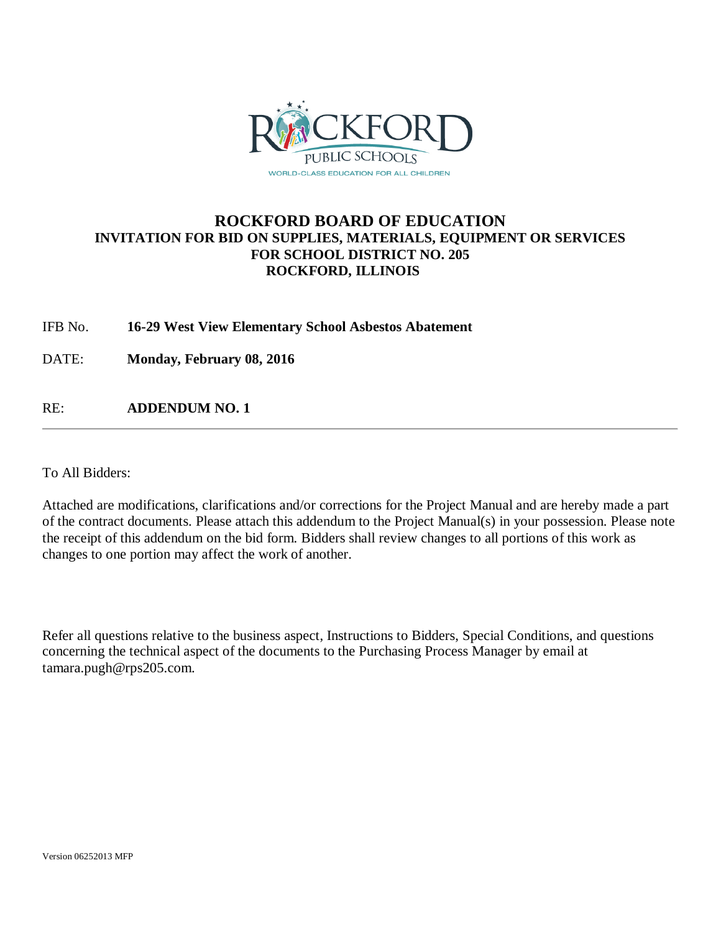

## **ROCKFORD BOARD OF EDUCATION INVITATION FOR BID ON SUPPLIES, MATERIALS, EQUIPMENT OR SERVICES FOR SCHOOL DISTRICT NO. 205 ROCKFORD, ILLINOIS**

IFB No. **16-29 West View Elementary School Asbestos Abatement**

DATE: **Monday, February 08, 2016**

RE: **ADDENDUM NO. 1**

To All Bidders:

Attached are modifications, clarifications and/or corrections for the Project Manual and are hereby made a part of the contract documents. Please attach this addendum to the Project Manual(s) in your possession. Please note the receipt of this addendum on the bid form. Bidders shall review changes to all portions of this work as changes to one portion may affect the work of another.

Refer all questions relative to the business aspect, Instructions to Bidders, Special Conditions, and questions concerning the technical aspect of the documents to the Purchasing Process Manager by email at tamara.pugh@rps205.com.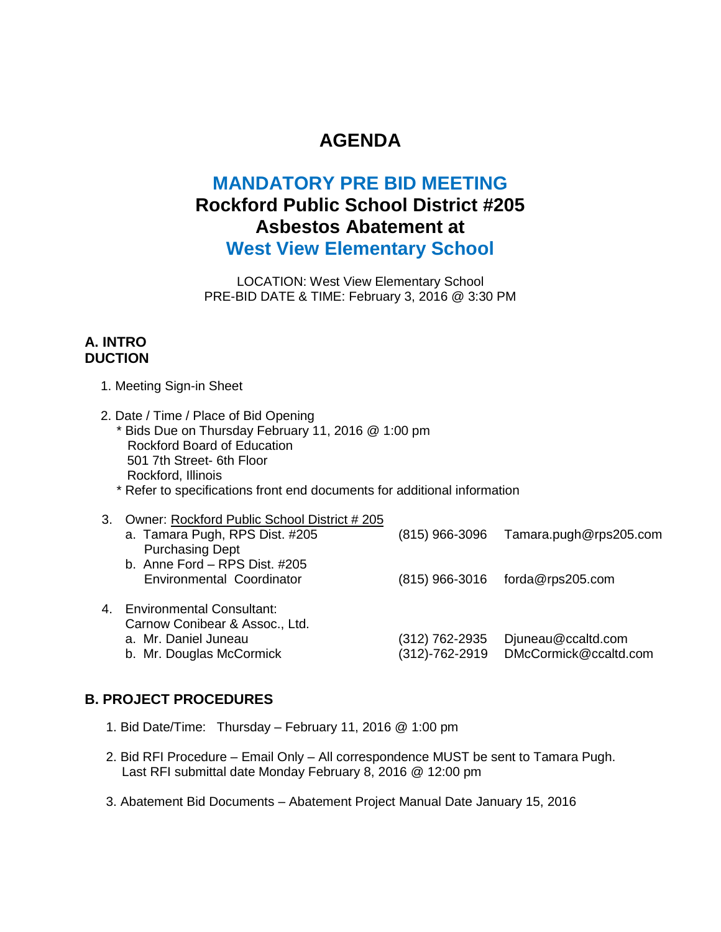# **AGENDA**

# **MANDATORY PRE BID MEETING Rockford Public School District #205 Asbestos Abatement at West View Elementary School**

LOCATION: West View Elementary School PRE-BID DATE & TIME: February 3, 2016 @ 3:30 PM

## **A. INTRO DUCTION**

- 1. Meeting Sign-in Sheet
- 2. Date / Time / Place of Bid Opening \* Bids Due on Thursday February 11, 2016 @ 1:00 pm Rockford Board of Education 501 7th Street- 6th Floor Rockford, Illinois
	- \* Refer to specifications front end documents for additional information

|   | 3. Owner: Rockford Public School District #205 |                  |                        |
|---|------------------------------------------------|------------------|------------------------|
|   | a. Tamara Pugh, RPS Dist. #205                 | $(815)$ 966-3096 | Tamara.pugh@rps205.com |
|   | <b>Purchasing Dept</b>                         |                  |                        |
|   | b. Anne Ford - RPS Dist. #205                  |                  |                        |
|   | Environmental Coordinator                      | (815) 966-3016   | forda@rps205.com       |
|   |                                                |                  |                        |
| 4 | <b>Environmental Consultant:</b>               |                  |                        |
|   | Carnow Conibear & Assoc., Ltd.                 |                  |                        |
|   | a. Mr. Daniel Juneau                           | (312) 762-2935   | Djuneau@ccaltd.com     |
|   | b. Mr. Douglas McCormick                       | (312)-762-2919   | DMcCormick@ccaltd.com  |
|   |                                                |                  |                        |

## **B. PROJECT PROCEDURES**

- 1. Bid Date/Time: Thursday February 11, 2016 @ 1:00 pm
- 2. Bid RFI Procedure Email Only All correspondence MUST be sent to Tamara Pugh. Last RFI submittal date Monday February 8, 2016 @ 12:00 pm
- 3. Abatement Bid Documents Abatement Project Manual Date January 15, 2016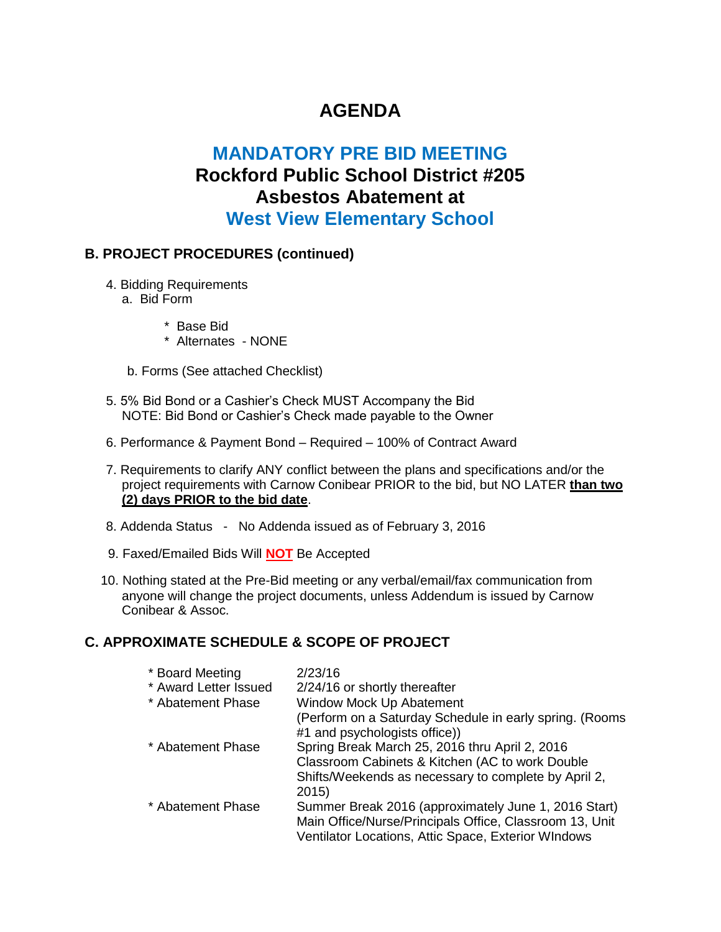# **AGENDA**

# **MANDATORY PRE BID MEETING Rockford Public School District #205 Asbestos Abatement at West View Elementary School**

### **B. PROJECT PROCEDURES (continued)**

- 4. Bidding Requirements
	- a. Bid Form
		- \* Base Bid
		- \* Alternates NONE
	- b. Forms (See attached Checklist)
- 5. 5% Bid Bond or a Cashier's Check MUST Accompany the Bid NOTE: Bid Bond or Cashier's Check made payable to the Owner
- 6. Performance & Payment Bond Required 100% of Contract Award
- 7. Requirements to clarify ANY conflict between the plans and specifications and/or the project requirements with Carnow Conibear PRIOR to the bid, but NO LATER **than two (2) days PRIOR to the bid date**.
- 8. Addenda Status No Addenda issued as of February 3, 2016
- 9. Faxed/Emailed Bids Will **NOT** Be Accepted
- 10. Nothing stated at the Pre-Bid meeting or any verbal/email/fax communication from anyone will change the project documents, unless Addendum is issued by Carnow Conibear & Assoc.

## **C. APPROXIMATE SCHEDULE & SCOPE OF PROJECT**

| * Board Meeting       | 2/23/16                                                  |
|-----------------------|----------------------------------------------------------|
| * Award Letter Issued | 2/24/16 or shortly thereafter                            |
| * Abatement Phase     | Window Mock Up Abatement                                 |
|                       | (Perform on a Saturday Schedule in early spring. (Rooms) |
|                       | #1 and psychologists office))                            |
| * Abatement Phase     | Spring Break March 25, 2016 thru April 2, 2016           |
|                       | Classroom Cabinets & Kitchen (AC to work Double          |
|                       | Shifts/Weekends as necessary to complete by April 2,     |
|                       | 2015)                                                    |
| * Abatement Phase     | Summer Break 2016 (approximately June 1, 2016 Start)     |
|                       | Main Office/Nurse/Principals Office, Classroom 13, Unit  |
|                       | Ventilator Locations, Attic Space, Exterior WIndows      |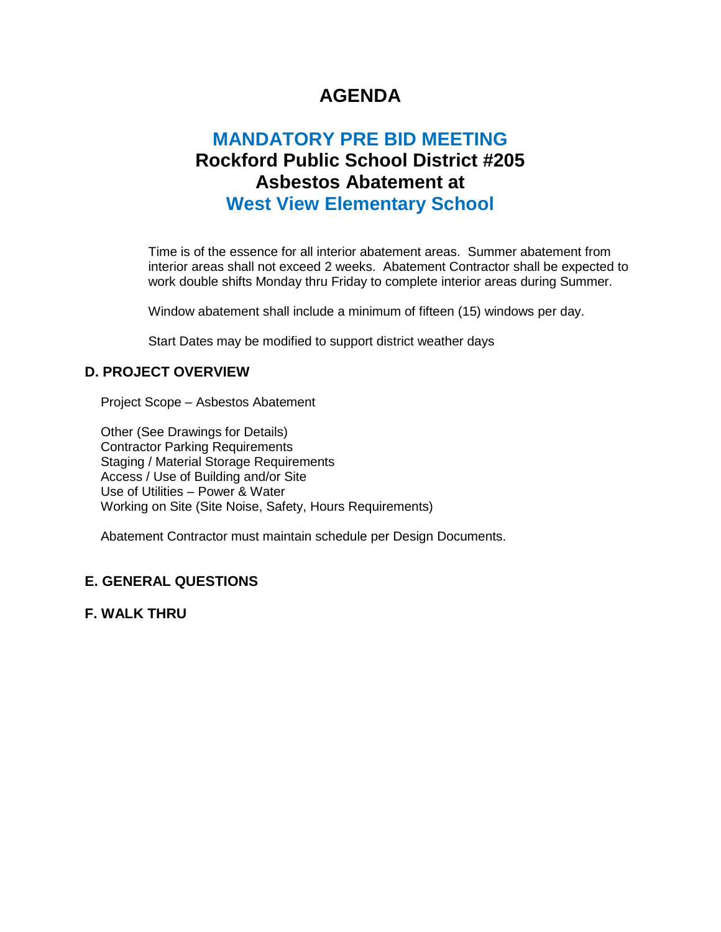# **AGENDA**

# **MANDATORY PRE BID MEETING Rockford Public School District #205 Asbestos Abatement at West View Elementary School**

Time is of the essence for all interior abatement areas. Summer abatement from interior areas shall not exceed 2 weeks. Abatement Contractor shall be expected to work double shifts Monday thru Friday to complete interior areas during Summer.

Window abatement shall include a minimum of fifteen (15) windows per day.

Start Dates may be modified to support district weather days

## **D. PROJECT OVERVIEW**

Project Scope – Asbestos Abatement

Other (See Drawings for Details) Contractor Parking Requirements Staging / Material Storage Requirements Access / Use of Building and/or Site Use of Utilities – Power & Water Working on Site (Site Noise, Safety, Hours Requirements)

Abatement Contractor must maintain schedule per Design Documents.

## **E. GENERAL QUESTIONS**

**F. WALK THRU**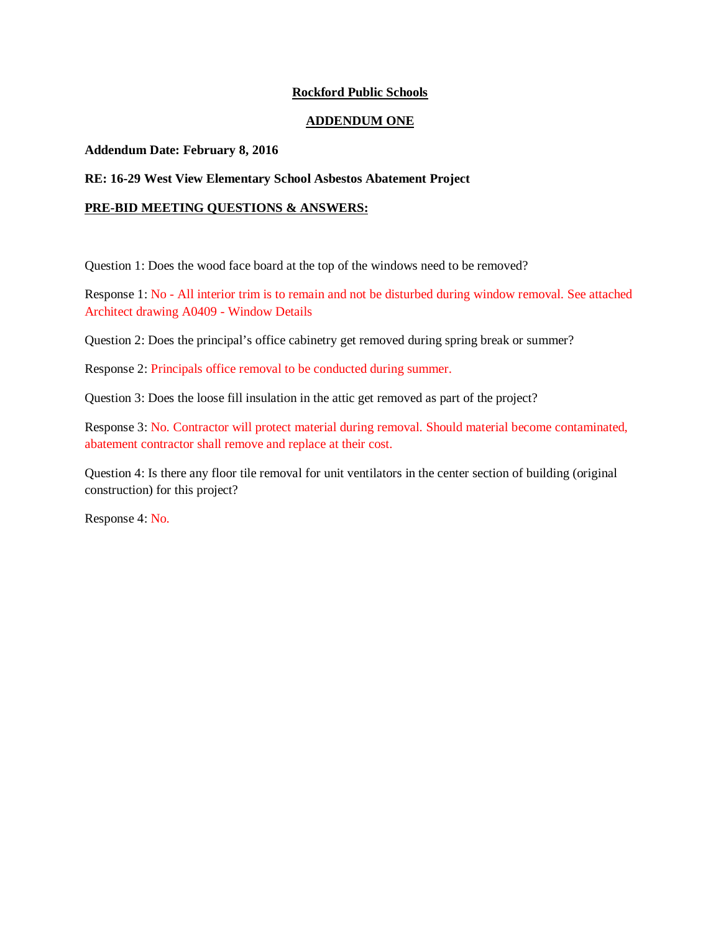#### **Rockford Public Schools**

#### **ADDENDUM ONE**

#### **Addendum Date: February 8, 2016**

#### **RE: 16-29 West View Elementary School Asbestos Abatement Project**

#### **PRE-BID MEETING QUESTIONS & ANSWERS:**

Question 1: Does the wood face board at the top of the windows need to be removed?

Response 1: No - All interior trim is to remain and not be disturbed during window removal. See attached Architect drawing A0409 - Window Details

Question 2: Does the principal's office cabinetry get removed during spring break or summer?

Response 2: Principals office removal to be conducted during summer.

Question 3: Does the loose fill insulation in the attic get removed as part of the project?

Response 3: No. Contractor will protect material during removal. Should material become contaminated, abatement contractor shall remove and replace at their cost.

Question 4: Is there any floor tile removal for unit ventilators in the center section of building (original construction) for this project?

Response 4: No.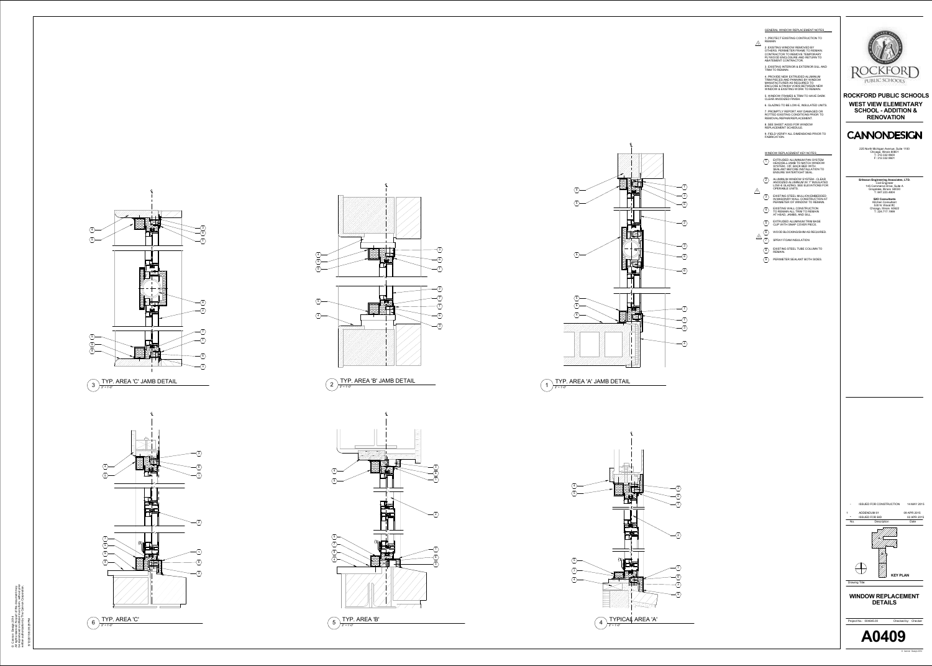1. PROTECT EXISTING CONTRUCTION TO REMAIN GENERAL WINDOW REPLACEMENT NOTES



2. EXISTING WINDOW REMOVED BY OTHERS. PERIMETER FRAME TO REMAIN. CONTRACTOR TO REMOVE TEMPORARY PLYWOOD ENCLOSURE AND RETURN TO ABATEMENT CONTRACTOR.

 $\angle$ 1

3. EXISTING INTERIOR & EXTERIOR SILL AND TRIM TO REMAIN. 4. PROVIDE NEW EXTRUDED ALUMINUM

TRIM PIECES AND PANNING BY WINDOW MANUFACTURER AS REQUIRED TO ENCLOSE & FINISH VOIDS BETWEEN NEW WINDOW & EXISTING WORK TO REMAIN. 5. WINDOW FRAMES & TRIM TO HAVE DARK CLEAR ANODIZED FINISH.

6. GLAZING TO BE LOW-E, INSULATED UNITS. 7. PROMPTLY REPORT ANY DAMAGED OR

ROTTED EXISTING CONDITIONS PRIOR TO REMOVAL/REPAIR/REPLACEMENT. 8. SEE SHEET A0303 FOR WINDOW

REPLACEMENT SCHEDULE. 9. FIELD VERIFY ALL DIMENSIONS PRIOR TO FABRICATION.

1<br> $\frac{1}{2}$ <br> $\frac{1}{3}$ <br> $\frac{1}{4}$ <br> $\frac{1}{5}$ WINDOW REPLACEMENT KEY NOTES  $\frac{6}{7}$  $\overline{8}$  EXISTING STEEL TUBE COLUMN TO EXTRUDED ALUMINUM PAN SYSTEM HEAD/SILL/JAMB TO MATCH WINDOW SYSTEM - VIF. BACK BED WITH SEALANT BEFORE INSTALLATION TO ENSURE WATERTIGHT SEAL. ALUMINUM WINDOW SYSTEM - CLEAR ANODIZED ALUMINUM W/ 1" INSULATED LOW-E GLAZING. SEE ELEVATIONS FOR OPERABLE UNITS. EXISTING STEEL MULLION EMBEDDED IN MASONRY WALL CONSTRUCTION AT PERIMETER OF WINDOW TO REMAIN. EXISTING WALL CONSTRUCTION TO REMAIN ALL TRIM TO REMAIN AT HEAD, JAMBS, AND SILL. EXTRUDED ALUMINUM TRIM BASE CLIP WITH SNAP COVER PIECE.  $\langle 6 \rangle$  WOOD BLOCKING/SHIM AS REQUIRED. SPRAY FOAM INSULATION REMAIN.  $\langle 9 \rangle$  PERIMETER SEALANT BOTH SIDES.  $\angle$ 1

© Cannon Design 2014<br>All rights reserved. No part of this document may<br>be reproduced or utilized in any form, without prior<br>written authorization by The Cannon Corporation. Cannon Design 2014 All rights reserved. No part of this document may be reproduced or utilized in any form, without prior written authorization by The Cannon Corporation.



 $1 \int \frac{1}{3^n} = 1^1 - 0^n$ 









5/12/2015 8:39:29 PM

# TYP. AREA 'A' JAMB DETAIL

1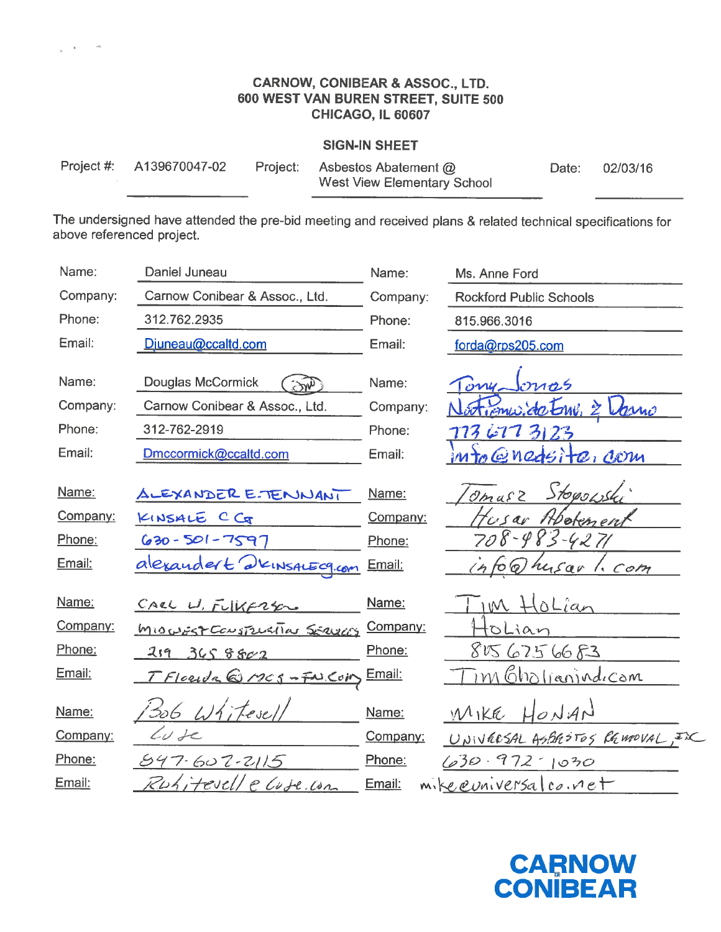#### **CARNOW, CONIBEAR & ASSOC., LTD.** 600 WEST VAN BUREN STREET, SUITE 500 CHICAGO, IL 60607

#### **SIGN-IN SHEET**

| Project #: | A1396700 |
|------------|----------|
|------------|----------|

47-02 Project:

Asbestos Abatement @ West View Elementary School

Date: 02/03/16

The undersigned have attended the pre-bid meeting and received plans & related technical specifications for above referenced project.

| Name:         | Daniel Juneau                        | Name:         | Ms. Anne Ford                           |
|---------------|--------------------------------------|---------------|-----------------------------------------|
| Company:      | Carnow Conibear & Assoc., Ltd.       | Company:      | <b>Rockford Public Schools</b>          |
| Phone:        | 312.762.2935                         | Phone:        | 815.966.3016                            |
| Email:        | Djuneau@ccaltd.com                   | Email:        | forda@rps205.com                        |
| Name:         | Douglas McCormick                    | Name:         | nos                                     |
| Company:      | Carnow Conibear & Assoc., Ltd.       | Company:      | tienuside Emi, 2 l<br>kano              |
| Phone:        | 312-762-2919                         | Phone:        | 74<br>3123<br>LT1                       |
| Email:        | Dmccormick@ccaltd.com                | Email:        | $m_{\mathcal{O}}$ $\omega$ nedsite, com |
| <u>Name:</u>  | ALEXANDER ETENNANI                   | Name:         | Stopowski<br>$Oma\epsilon$              |
| Company:      | KINSALE C CG                         | Company:      | Hbotenen<br>Tusar                       |
| Phone:        | $630 - 501 - 7597$                   | Phone:        | 708-983-<br>4271                        |
| Email:        | alexandert dkinsactogian             | Email:        | (66)<br>husar 1. Com                    |
| Name:         | CARL W. FULKERSON                    | Name:         | im HoLian                               |
| Company:      | <u>MIOUSST CONSTRUCTION SERVICES</u> | Company:      | oLian                                   |
| Phone:        | 2193658802                           | Phone:        | 856756683                               |
| Email:        | TFlorida@MCS-FN.COM                  | <u>Email:</u> | <u>im Gholianindicom</u>                |
| Name:         | 306 Whitesel                         | Name:         | MIKE HONAN                              |
| Company:      | $\omega$ de                          | Company:      | UNIVERSAL ASBROTOS REMOVAL, IX          |
| Phone:        | 547.607.2115                         | Phone:        | $630 \cdot 972$ 1030                    |
| <u>Email:</u> | itevelle Cuse. Com                   | Email:        | mike evaiversal co. net                 |